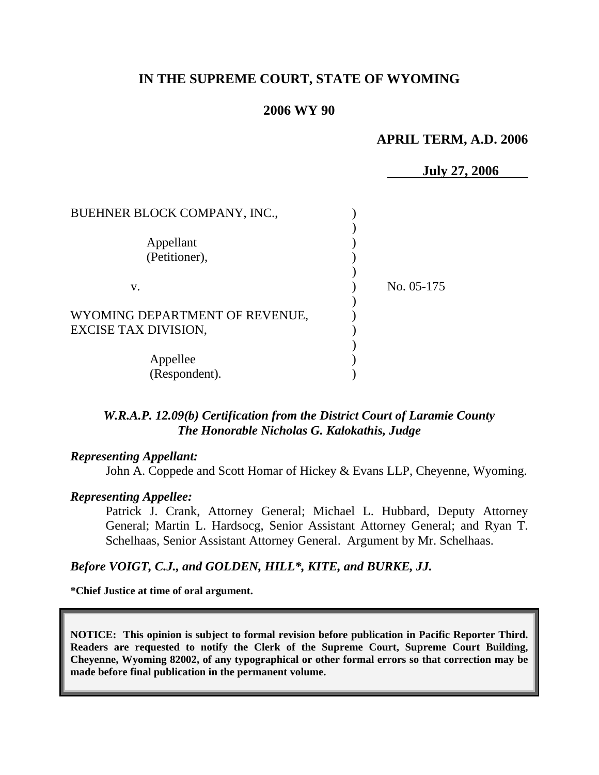# **IN THE SUPREME COURT, STATE OF WYOMING**

## **2006 WY 90**

## **APRIL TERM, A.D. 2006**

|                                                               | <b>July 27, 2006</b> |
|---------------------------------------------------------------|----------------------|
| BUEHNER BLOCK COMPANY, INC.,                                  |                      |
| Appellant<br>(Petitioner),                                    |                      |
| V.                                                            | No. 05-175           |
| WYOMING DEPARTMENT OF REVENUE,<br><b>EXCISE TAX DIVISION,</b> |                      |
| Appellee<br>(Respondent).                                     |                      |

# *W.R.A.P. 12.09(b) Certification from the District Court of Laramie County The Honorable Nicholas G. Kalokathis, Judge*

#### *Representing Appellant:*

John A. Coppede and Scott Homar of Hickey & Evans LLP, Cheyenne, Wyoming.

#### *Representing Appellee:*

Patrick J. Crank, Attorney General; Michael L. Hubbard, Deputy Attorney General; Martin L. Hardsocg, Senior Assistant Attorney General; and Ryan T. Schelhaas, Senior Assistant Attorney General. Argument by Mr. Schelhaas.

#### *Before VOIGT, C.J., and GOLDEN, HILL\*, KITE, and BURKE, JJ.*

**\*Chief Justice at time of oral argument.** 

**NOTICE: This opinion is subject to formal revision before publication in Pacific Reporter Third. Readers are requested to notify the Clerk of the Supreme Court, Supreme Court Building, Cheyenne, Wyoming 82002, of any typographical or other formal errors so that correction may be made before final publication in the permanent volume.**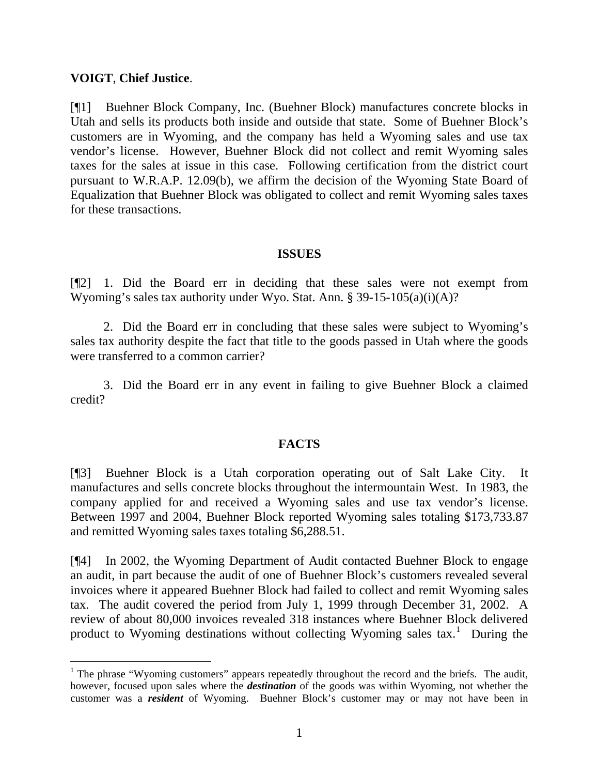## **VOIGT**, **Chief Justice**.

 $\overline{a}$ 

[¶1] Buehner Block Company, Inc. (Buehner Block) manufactures concrete blocks in Utah and sells its products both inside and outside that state. Some of Buehner Block's customers are in Wyoming, and the company has held a Wyoming sales and use tax vendor's license. However, Buehner Block did not collect and remit Wyoming sales taxes for the sales at issue in this case. Following certification from the district court pursuant to W.R.A.P. 12.09(b), we affirm the decision of the Wyoming State Board of Equalization that Buehner Block was obligated to collect and remit Wyoming sales taxes for these transactions.

#### **ISSUES**

[¶2] 1. Did the Board err in deciding that these sales were not exempt from Wyoming's sales tax authority under Wyo. Stat. Ann. § 39-15-105(a)(i)(A)?

 2. Did the Board err in concluding that these sales were subject to Wyoming's sales tax authority despite the fact that title to the goods passed in Utah where the goods were transferred to a common carrier?

 3. Did the Board err in any event in failing to give Buehner Block a claimed credit?

### **FACTS**

[¶3] Buehner Block is a Utah corporation operating out of Salt Lake City. It manufactures and sells concrete blocks throughout the intermountain West. In 1983, the company applied for and received a Wyoming sales and use tax vendor's license. Between 1997 and 2004, Buehner Block reported Wyoming sales totaling \$173,733.87 and remitted Wyoming sales taxes totaling \$6,288.51.

[¶4] In 2002, the Wyoming Department of Audit contacted Buehner Block to engage an audit, in part because the audit of one of Buehner Block's customers revealed several invoices where it appeared Buehner Block had failed to collect and remit Wyoming sales tax. The audit covered the period from July 1, 1999 through December 31, 2002. A review of about 80,000 invoices revealed 318 instances where Buehner Block delivered product to Wyoming destinations without collecting Wyoming sales  $\text{tax.}^1$  $\text{tax.}^1$  During the

<span id="page-1-0"></span><sup>&</sup>lt;sup>1</sup> The phrase "Wyoming customers" appears repeatedly throughout the record and the briefs. The audit, however, focused upon sales where the *destination* of the goods was within Wyoming, not whether the customer was a *resident* of Wyoming. Buehner Block's customer may or may not have been in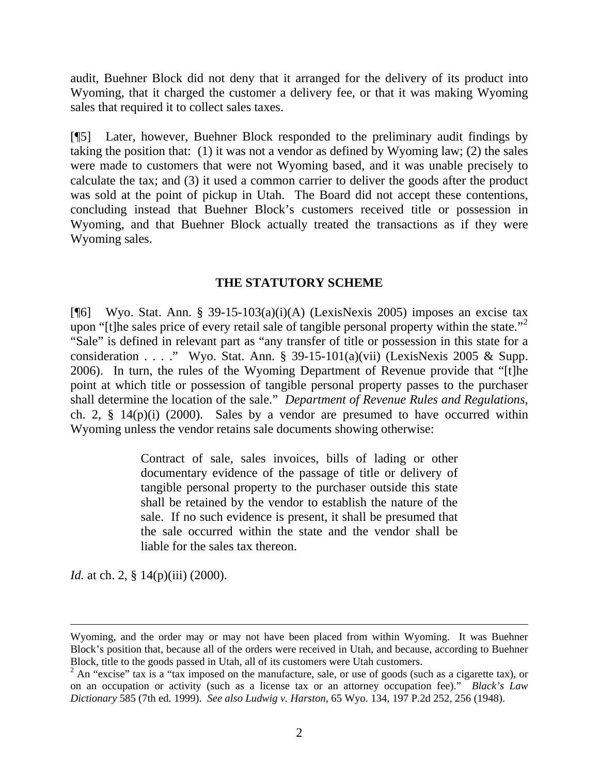audit, Buehner Block did not deny that it arranged for the delivery of its product into Wyoming, that it charged the customer a delivery fee, or that it was making Wyoming sales that required it to collect sales taxes.

[¶5] Later, however, Buehner Block responded to the preliminary audit findings by taking the position that: (1) it was not a vendor as defined by Wyoming law; (2) the sales were made to customers that were not Wyoming based, and it was unable precisely to calculate the tax; and (3) it used a common carrier to deliver the goods after the product was sold at the point of pickup in Utah. The Board did not accept these contentions, concluding instead that Buehner Block's customers received title or possession in Wyoming, and that Buehner Block actually treated the transactions as if they were Wyoming sales.

### **THE STATUTORY SCHEME**

[ $[$ 6] Wyo. Stat. Ann. § 39-15-103(a)(i)(A) (LexisNexis 2005) imposes an excise tax upon "[t]he sales price of every retail sale of tangible personal property within the state."<sup>[2](#page-2-0)</sup> "Sale" is defined in relevant part as "any transfer of title or possession in this state for a consideration . . . ." Wyo. Stat. Ann. § 39-15-101(a)(vii) (LexisNexis 2005 & Supp. 2006). In turn, the rules of the Wyoming Department of Revenue provide that "[t]he point at which title or possession of tangible personal property passes to the purchaser shall determine the location of the sale." *Department of Revenue Rules and Regulations,*  ch. 2,  $\S$  14(p)(i) (2000). Sales by a vendor are presumed to have occurred within Wyoming unless the vendor retains sale documents showing otherwise:

> Contract of sale, sales invoices, bills of lading or other documentary evidence of the passage of title or delivery of tangible personal property to the purchaser outside this state shall be retained by the vendor to establish the nature of the sale. If no such evidence is present, it shall be presumed that the sale occurred within the state and the vendor shall be liable for the sales tax thereon.

*Id.* at ch. 2, § 14(p)(iii) (2000).

Wyoming, and the order may or may not have been placed from within Wyoming. It was Buehner Block's position that, because all of the orders were received in Utah, and because, according to Buehner Block, title to the goods passed in Utah, all of its customers were Utah customers.

<span id="page-2-0"></span> $2^2$  An "excise" tax is a "tax imposed on the manufacture, sale, or use of goods (such as a cigarette tax), or on an occupation or activity (such as a license tax or an attorney occupation fee)." *Black's Law Dictionary* 585 (7th ed. 1999). *See also Ludwig v. Harston,* 65 Wyo. 134, 197 P.2d 252, 256 (1948).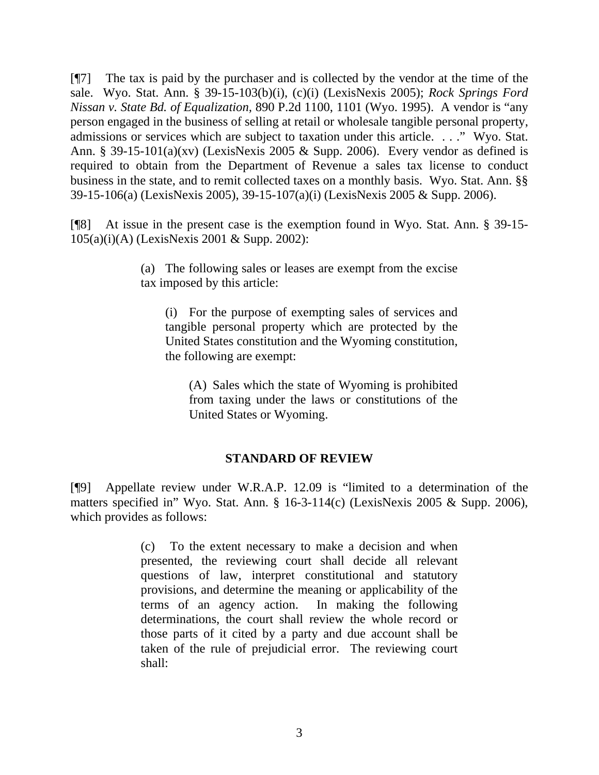[¶7] The tax is paid by the purchaser and is collected by the vendor at the time of the sale. Wyo. Stat. Ann. § 39-15-103(b)(i), (c)(i) (LexisNexis 2005); *Rock Springs Ford Nissan v. State Bd. of Equalization,* 890 P.2d 1100, 1101 (Wyo. 1995). A vendor is "any person engaged in the business of selling at retail or wholesale tangible personal property, admissions or services which are subject to taxation under this article. . . ." Wyo. Stat. Ann. § 39-15-101(a)(xv) (LexisNexis 2005 & Supp. 2006). Every vendor as defined is required to obtain from the Department of Revenue a sales tax license to conduct business in the state, and to remit collected taxes on a monthly basis. Wyo. Stat. Ann. §§ 39-15-106(a) (LexisNexis 2005), 39-15-107(a)(i) (LexisNexis 2005 & Supp. 2006).

[¶8] At issue in the present case is the exemption found in Wyo. Stat. Ann. § 39-15- 105(a)(i)(A) (LexisNexis 2001 & Supp. 2002):

> (a) The following sales or leases are exempt from the excise tax imposed by this article:

(i) For the purpose of exempting sales of services and tangible personal property which are protected by the United States constitution and the Wyoming constitution, the following are exempt:

(A) Sales which the state of Wyoming is prohibited from taxing under the laws or constitutions of the United States or Wyoming.

### **STANDARD OF REVIEW**

[¶9] Appellate review under W.R.A.P. 12.09 is "limited to a determination of the matters specified in" Wyo. Stat. Ann. § 16-3-114(c) (LexisNexis 2005 & Supp. 2006), which provides as follows:

> (c) To the extent necessary to make a decision and when presented, the reviewing court shall decide all relevant questions of law, interpret constitutional and statutory provisions, and determine the meaning or applicability of the terms of an agency action. In making the following determinations, the court shall review the whole record or those parts of it cited by a party and due account shall be taken of the rule of prejudicial error. The reviewing court shall: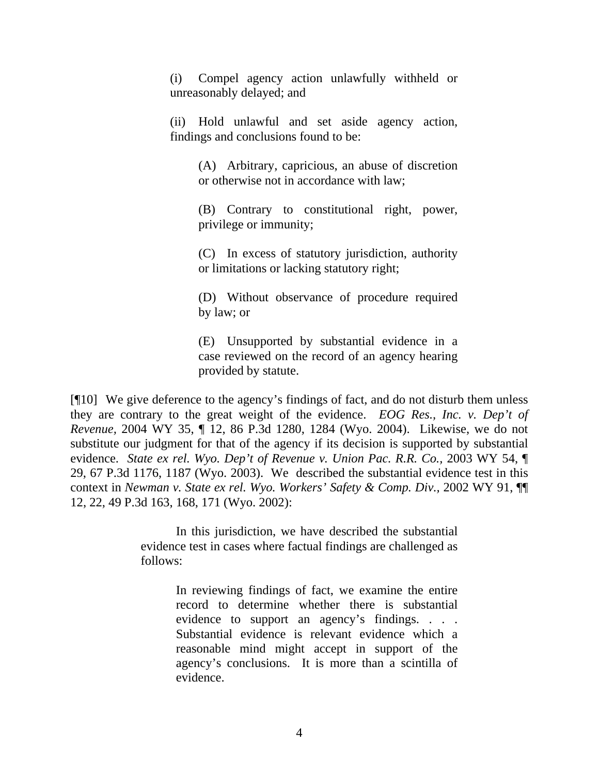(i) Compel agency action unlawfully withheld or unreasonably delayed; and

(ii) Hold unlawful and set aside agency action, findings and conclusions found to be:

(A) Arbitrary, capricious, an abuse of discretion or otherwise not in accordance with law;

(B) Contrary to constitutional right, power, privilege or immunity;

(C) In excess of statutory jurisdiction, authority or limitations or lacking statutory right;

(D) Without observance of procedure required by law; or

(E) Unsupported by substantial evidence in a case reviewed on the record of an agency hearing provided by statute.

[¶10] We give deference to the agency's findings of fact, and do not disturb them unless they are contrary to the great weight of the evidence. *EOG Res., Inc. v. Dep't of Revenue,* 2004 WY 35, ¶ 12, 86 P.3d 1280, 1284 (Wyo. 2004). Likewise, we do not substitute our judgment for that of the agency if its decision is supported by substantial evidence. *State ex rel. Wyo. Dep't of Revenue v. Union Pac. R.R. Co., 2003 WY 54,* ¶ 29, 67 P.3d 1176, 1187 (Wyo. 2003). We described the substantial evidence test in this context in *Newman v. State ex rel. Wyo. Workers' Safety & Comp. Div.*, 2002 WY 91,  $\P$ 12, 22, 49 P.3d 163, 168, 171 (Wyo. 2002):

> In this jurisdiction, we have described the substantial evidence test in cases where factual findings are challenged as follows:

> > In reviewing findings of fact, we examine the entire record to determine whether there is substantial evidence to support an agency's findings. . . . Substantial evidence is relevant evidence which a reasonable mind might accept in support of the agency's conclusions. It is more than a scintilla of evidence.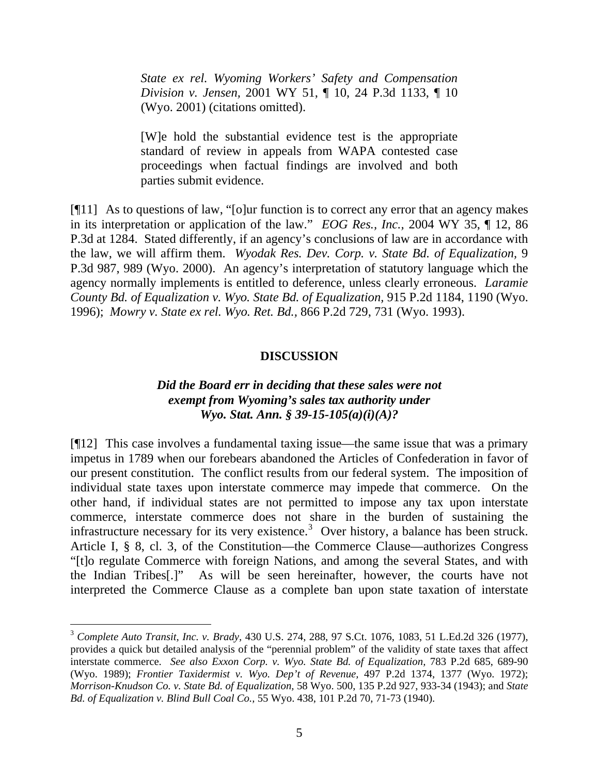*State ex rel. Wyoming Workers' Safety and Compensation Division v. Jensen,* 2001 WY 51, ¶ 10, 24 P.3d 1133, ¶ 10 (Wyo. 2001) (citations omitted).

[W]e hold the substantial evidence test is the appropriate standard of review in appeals from WAPA contested case proceedings when factual findings are involved and both parties submit evidence.

[¶11] As to questions of law, "[o]ur function is to correct any error that an agency makes in its interpretation or application of the law." *EOG Res., Inc.,* 2004 WY 35, ¶ 12, 86 P.3d at 1284. Stated differently, if an agency's conclusions of law are in accordance with the law, we will affirm them. *Wyodak Res. Dev. Corp. v. State Bd. of Equalization,* 9 P.3d 987, 989 (Wyo. 2000). An agency's interpretation of statutory language which the agency normally implements is entitled to deference, unless clearly erroneous. *Laramie County Bd. of Equalization v. Wyo. State Bd. of Equalization,* 915 P.2d 1184, 1190 (Wyo. 1996); *Mowry v. State ex rel. Wyo. Ret. Bd.,* 866 P.2d 729, 731 (Wyo. 1993).

#### **DISCUSSION**

## *Did the Board err in deciding that these sales were not exempt from Wyoming's sales tax authority under Wyo. Stat. Ann. § 39-15-105(a)(i)(A)?*

[¶12] This case involves a fundamental taxing issue—the same issue that was a primary impetus in 1789 when our forebears abandoned the Articles of Confederation in favor of our present constitution. The conflict results from our federal system. The imposition of individual state taxes upon interstate commerce may impede that commerce. On the other hand, if individual states are not permitted to impose any tax upon interstate commerce, interstate commerce does not share in the burden of sustaining the infrastructure necessary for its very existence.<sup>[3](#page-5-0)</sup> Over history, a balance has been struck. Article I, § 8, cl. 3, of the Constitution—the Commerce Clause—authorizes Congress "[t]o regulate Commerce with foreign Nations, and among the several States, and with the Indian Tribes[.]" As will be seen hereinafter, however, the courts have not interpreted the Commerce Clause as a complete ban upon state taxation of interstate

<span id="page-5-0"></span><sup>3</sup> *Complete Auto Transit, Inc. v. Brady,* 430 U.S. 274, 288, 97 S.Ct. 1076, 1083, 51 L.Ed.2d 326 (1977), provides a quick but detailed analysis of the "perennial problem" of the validity of state taxes that affect interstate commerce. *See also Exxon Corp. v. Wyo. State Bd. of Equalization,* 783 P.2d 685, 689-90 (Wyo. 1989); *Frontier Taxidermist v. Wyo. Dep't of Revenue,* 497 P.2d 1374, 1377 (Wyo. 1972); *Morrison-Knudson Co. v. State Bd. of Equalization,* 58 Wyo. 500, 135 P.2d 927, 933-34 (1943); and *State Bd. of Equalization v. Blind Bull Coal Co.,* 55 Wyo. 438, 101 P.2d 70, 71-73 (1940).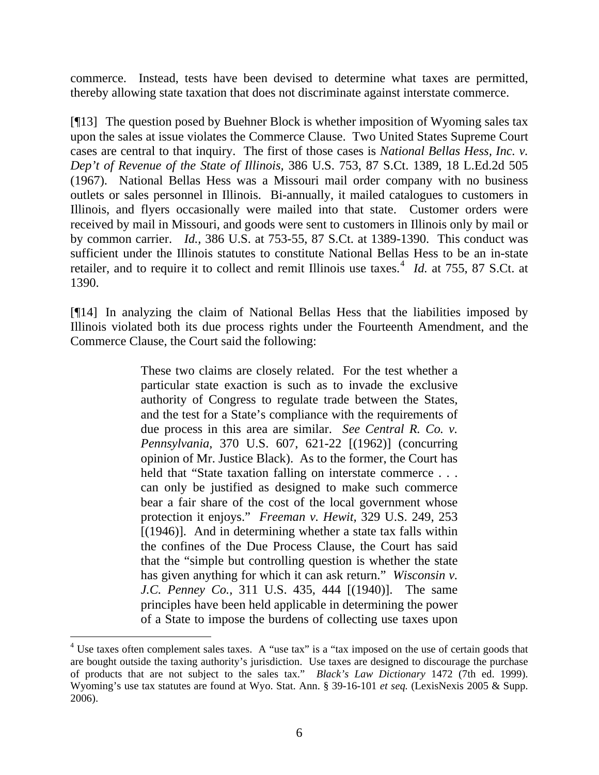commerce. Instead, tests have been devised to determine what taxes are permitted, thereby allowing state taxation that does not discriminate against interstate commerce.

[¶13] The question posed by Buehner Block is whether imposition of Wyoming sales tax upon the sales at issue violates the Commerce Clause. Two United States Supreme Court cases are central to that inquiry. The first of those cases is *National Bellas Hess, Inc. v. Dep't of Revenue of the State of Illinois,* 386 U.S. 753, 87 S.Ct. 1389, 18 L.Ed.2d 505 (1967). National Bellas Hess was a Missouri mail order company with no business outlets or sales personnel in Illinois. Bi-annually, it mailed catalogues to customers in Illinois, and flyers occasionally were mailed into that state. Customer orders were received by mail in Missouri, and goods were sent to customers in Illinois only by mail or by common carrier. *Id.,* 386 U.S. at 753-55, 87 S.Ct. at 1389-1390. This conduct was sufficient under the Illinois statutes to constitute National Bellas Hess to be an in-state retailer, and to require it to collect and remit Illinois use taxes.<sup>[4](#page-6-0)</sup> *Id.* at 755, 87 S.Ct. at 1390.

[¶14] In analyzing the claim of National Bellas Hess that the liabilities imposed by Illinois violated both its due process rights under the Fourteenth Amendment, and the Commerce Clause, the Court said the following:

> These two claims are closely related. For the test whether a particular state exaction is such as to invade the exclusive authority of Congress to regulate trade between the States, and the test for a State's compliance with the requirements of due process in this area are similar. *See Central R. Co. v. Pennsylvania,* 370 U.S. 607, 621-22 [(1962)] (concurring opinion of Mr. Justice Black). As to the former, the Court has held that "State taxation falling on interstate commerce . . . can only be justified as designed to make such commerce bear a fair share of the cost of the local government whose protection it enjoys." *Freeman v. Hewit,* 329 U.S. 249, 253  $[(1946)]$ . And in determining whether a state tax falls within the confines of the Due Process Clause, the Court has said that the "simple but controlling question is whether the state has given anything for which it can ask return." *Wisconsin v. J.C. Penney Co.,* 311 U.S. 435, 444 [(1940)]. The same principles have been held applicable in determining the power of a State to impose the burdens of collecting use taxes upon

<span id="page-6-0"></span><sup>&</sup>lt;sup>4</sup> Use taxes often complement sales taxes. A "use tax" is a "tax imposed on the use of certain goods that are bought outside the taxing authority's jurisdiction. Use taxes are designed to discourage the purchase of products that are not subject to the sales tax." *Black's Law Dictionary* 1472 (7th ed. 1999). Wyoming's use tax statutes are found at Wyo. Stat. Ann. § 39-16-101 *et seq.* (LexisNexis 2005 & Supp. 2006).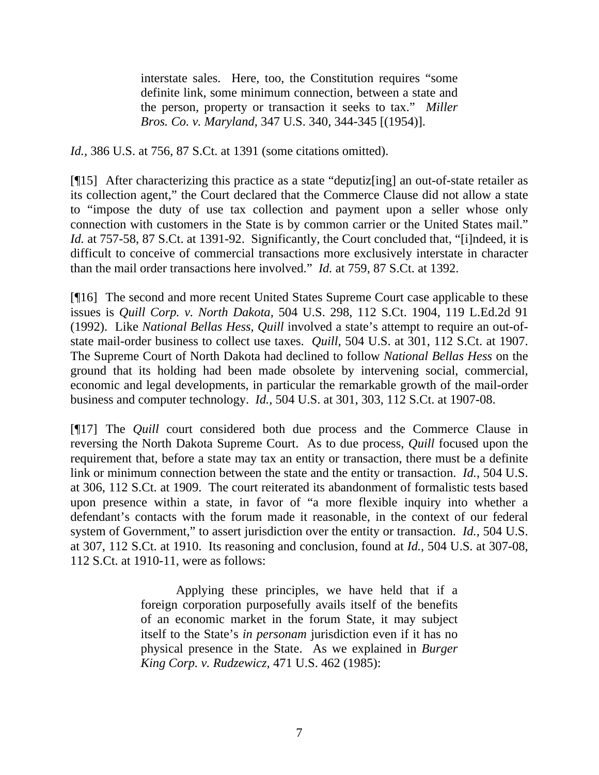interstate sales. Here, too, the Constitution requires "some definite link, some minimum connection, between a state and the person, property or transaction it seeks to tax." *Miller Bros. Co. v. Maryland,* 347 U.S. 340, 344-345 [(1954)].

*Id.,* 386 U.S. at 756, 87 S.Ct. at 1391 (some citations omitted).

[¶15] After characterizing this practice as a state "deputiz[ing] an out-of-state retailer as its collection agent," the Court declared that the Commerce Clause did not allow a state to "impose the duty of use tax collection and payment upon a seller whose only connection with customers in the State is by common carrier or the United States mail." *Id.* at 757-58, 87 S.Ct. at 1391-92. Significantly, the Court concluded that, "[i]ndeed, it is difficult to conceive of commercial transactions more exclusively interstate in character than the mail order transactions here involved." *Id.* at 759, 87 S.Ct. at 1392.

[¶16] The second and more recent United States Supreme Court case applicable to these issues is *Quill Corp. v. North Dakota,* 504 U.S. 298, 112 S.Ct. 1904, 119 L.Ed.2d 91 (1992). Like *National Bellas Hess, Quill* involved a state's attempt to require an out-ofstate mail-order business to collect use taxes. *Quill,* 504 U.S. at 301, 112 S.Ct. at 1907. The Supreme Court of North Dakota had declined to follow *National Bellas Hess* on the ground that its holding had been made obsolete by intervening social, commercial, economic and legal developments, in particular the remarkable growth of the mail-order business and computer technology. *Id.,* 504 U.S. at 301, 303, 112 S.Ct. at 1907-08.

[¶17] The *Quill* court considered both due process and the Commerce Clause in reversing the North Dakota Supreme Court. As to due process, *Quill* focused upon the requirement that, before a state may tax an entity or transaction, there must be a definite link or minimum connection between the state and the entity or transaction. *Id.,* 504 U.S. at 306, 112 S.Ct. at 1909. The court reiterated its abandonment of formalistic tests based upon presence within a state, in favor of "a more flexible inquiry into whether a defendant's contacts with the forum made it reasonable, in the context of our federal system of Government," to assert jurisdiction over the entity or transaction. *Id.,* 504 U.S. at 307, 112 S.Ct. at 1910. Its reasoning and conclusion, found at *Id.,* 504 U.S. at 307-08, 112 S.Ct. at 1910-11, were as follows:

> Applying these principles, we have held that if a foreign corporation purposefully avails itself of the benefits of an economic market in the forum State, it may subject itself to the State's *in personam* jurisdiction even if it has no physical presence in the State. As we explained in *Burger King Corp. v. Rudzewicz,* 471 U.S. 462 (1985):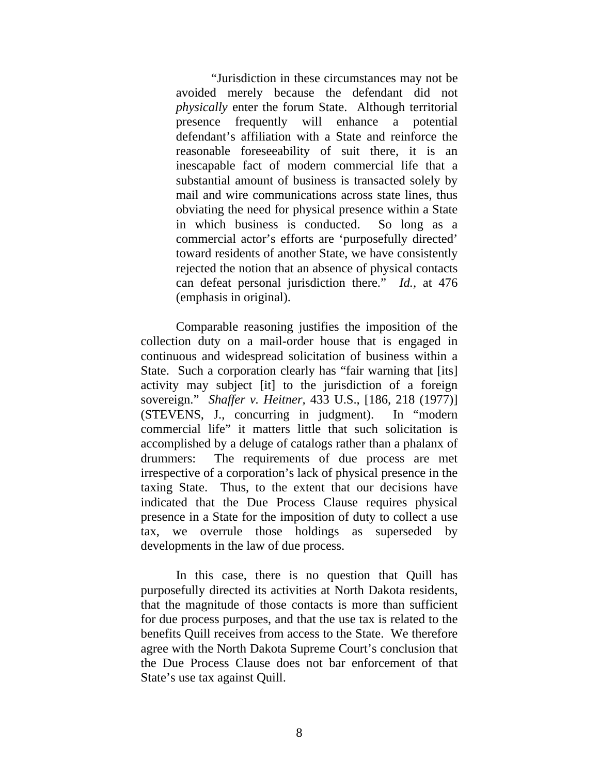"Jurisdiction in these circumstances may not be avoided merely because the defendant did not *physically* enter the forum State. Although territorial presence frequently will enhance a potential defendant's affiliation with a State and reinforce the reasonable foreseeability of suit there, it is an inescapable fact of modern commercial life that a substantial amount of business is transacted solely by mail and wire communications across state lines, thus obviating the need for physical presence within a State in which business is conducted. So long as a commercial actor's efforts are 'purposefully directed' toward residents of another State, we have consistently rejected the notion that an absence of physical contacts can defeat personal jurisdiction there." *Id.,* at 476 (emphasis in original).

 Comparable reasoning justifies the imposition of the collection duty on a mail-order house that is engaged in continuous and widespread solicitation of business within a State. Such a corporation clearly has "fair warning that [its] activity may subject [it] to the jurisdiction of a foreign sovereign." *Shaffer v. Heitner,* 433 U.S., [186, 218 (1977)] (STEVENS, J., concurring in judgment). In "modern commercial life" it matters little that such solicitation is accomplished by a deluge of catalogs rather than a phalanx of drummers: The requirements of due process are met irrespective of a corporation's lack of physical presence in the taxing State. Thus, to the extent that our decisions have indicated that the Due Process Clause requires physical presence in a State for the imposition of duty to collect a use tax, we overrule those holdings as superseded by developments in the law of due process.

 In this case, there is no question that Quill has purposefully directed its activities at North Dakota residents, that the magnitude of those contacts is more than sufficient for due process purposes, and that the use tax is related to the benefits Quill receives from access to the State. We therefore agree with the North Dakota Supreme Court's conclusion that the Due Process Clause does not bar enforcement of that State's use tax against Quill.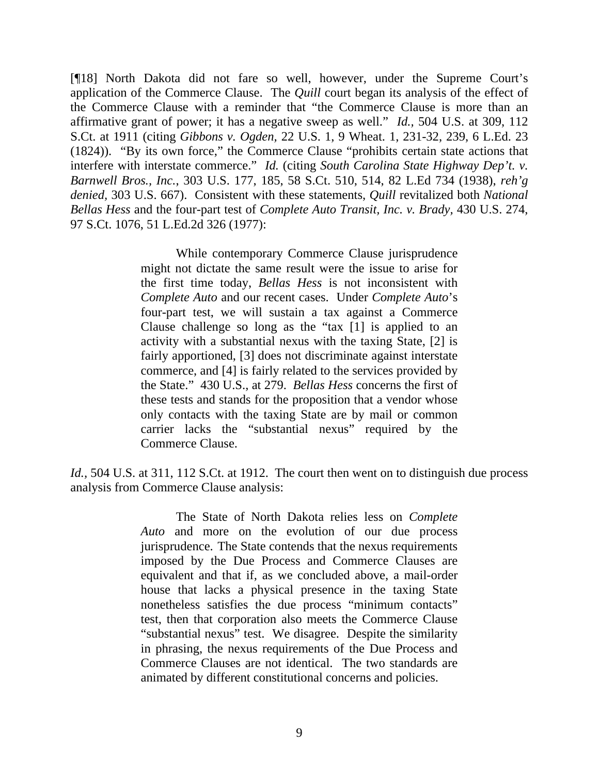[¶18] North Dakota did not fare so well, however, under the Supreme Court's application of the Commerce Clause. The *Quill* court began its analysis of the effect of the Commerce Clause with a reminder that "the Commerce Clause is more than an affirmative grant of power; it has a negative sweep as well." *Id.,* 504 U.S. at 309, 112 S.Ct. at 1911 (citing *Gibbons v. Ogden,* 22 U.S. 1, 9 Wheat. 1, 231-32, 239, 6 L.Ed. 23 (1824)). "By its own force," the Commerce Clause "prohibits certain state actions that interfere with interstate commerce." *Id.* (citing *South Carolina State Highway Dep't. v. Barnwell Bros., Inc.*, 303 U.S. 177, 185, 58 S.Ct. 510, 514, 82 L.Ed 734 (1938), *reh'g denied,* 303 U.S. 667). Consistent with these statements, *Quill* revitalized both *National Bellas Hess* and the four-part test of *Complete Auto Transit, Inc. v. Brady,* 430 U.S. 274, 97 S.Ct. 1076, 51 L.Ed.2d 326 (1977):

> While contemporary Commerce Clause jurisprudence might not dictate the same result were the issue to arise for the first time today, *Bellas Hess* is not inconsistent with *Complete Auto* and our recent cases. Under *Complete Auto*'s four-part test, we will sustain a tax against a Commerce Clause challenge so long as the "tax [1] is applied to an activity with a substantial nexus with the taxing State, [2] is fairly apportioned, [3] does not discriminate against interstate commerce, and [4] is fairly related to the services provided by the State." 430 U.S., at 279. *Bellas Hess* concerns the first of these tests and stands for the proposition that a vendor whose only contacts with the taxing State are by mail or common carrier lacks the "substantial nexus" required by the Commerce Clause.

*Id.*, 504 U.S. at 311, 112 S.Ct. at 1912. The court then went on to distinguish due process analysis from Commerce Clause analysis:

> The State of North Dakota relies less on *Complete Auto* and more on the evolution of our due process jurisprudence. The State contends that the nexus requirements imposed by the Due Process and Commerce Clauses are equivalent and that if, as we concluded above, a mail-order house that lacks a physical presence in the taxing State nonetheless satisfies the due process "minimum contacts" test, then that corporation also meets the Commerce Clause "substantial nexus" test. We disagree. Despite the similarity in phrasing, the nexus requirements of the Due Process and Commerce Clauses are not identical. The two standards are animated by different constitutional concerns and policies.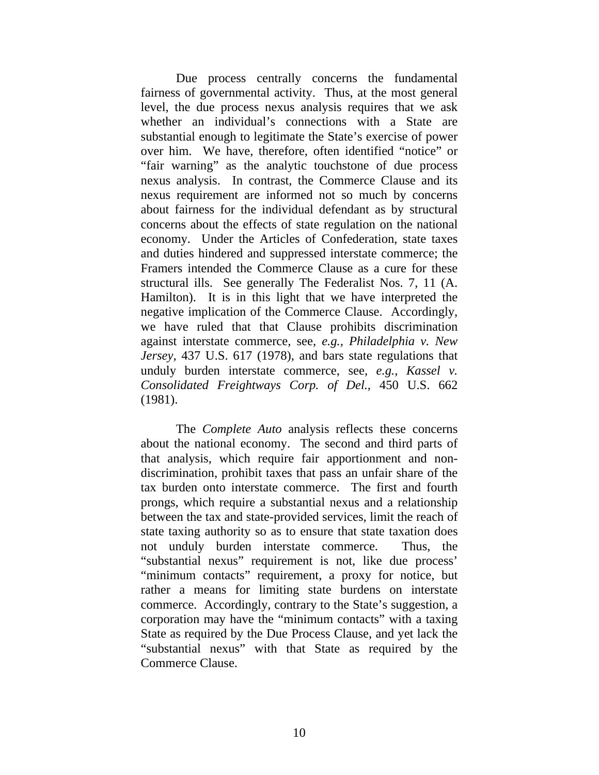Due process centrally concerns the fundamental fairness of governmental activity. Thus, at the most general level, the due process nexus analysis requires that we ask whether an individual's connections with a State are substantial enough to legitimate the State's exercise of power over him. We have, therefore, often identified "notice" or "fair warning" as the analytic touchstone of due process nexus analysis. In contrast, the Commerce Clause and its nexus requirement are informed not so much by concerns about fairness for the individual defendant as by structural concerns about the effects of state regulation on the national economy. Under the Articles of Confederation, state taxes and duties hindered and suppressed interstate commerce; the Framers intended the Commerce Clause as a cure for these structural ills. See generally The Federalist Nos. 7, 11 (A. Hamilton). It is in this light that we have interpreted the negative implication of the Commerce Clause. Accordingly, we have ruled that that Clause prohibits discrimination against interstate commerce, see, *e.g., Philadelphia v. New Jersey,* 437 U.S. 617 (1978), and bars state regulations that unduly burden interstate commerce, see, *e.g., Kassel v. Consolidated Freightways Corp. of Del.,* 450 U.S. 662 (1981).

 The *Complete Auto* analysis reflects these concerns about the national economy. The second and third parts of that analysis, which require fair apportionment and nondiscrimination, prohibit taxes that pass an unfair share of the tax burden onto interstate commerce. The first and fourth prongs, which require a substantial nexus and a relationship between the tax and state-provided services, limit the reach of state taxing authority so as to ensure that state taxation does not unduly burden interstate commerce. Thus, the "substantial nexus" requirement is not, like due process' "minimum contacts" requirement, a proxy for notice, but rather a means for limiting state burdens on interstate commerce. Accordingly, contrary to the State's suggestion, a corporation may have the "minimum contacts" with a taxing State as required by the Due Process Clause, and yet lack the "substantial nexus" with that State as required by the Commerce Clause.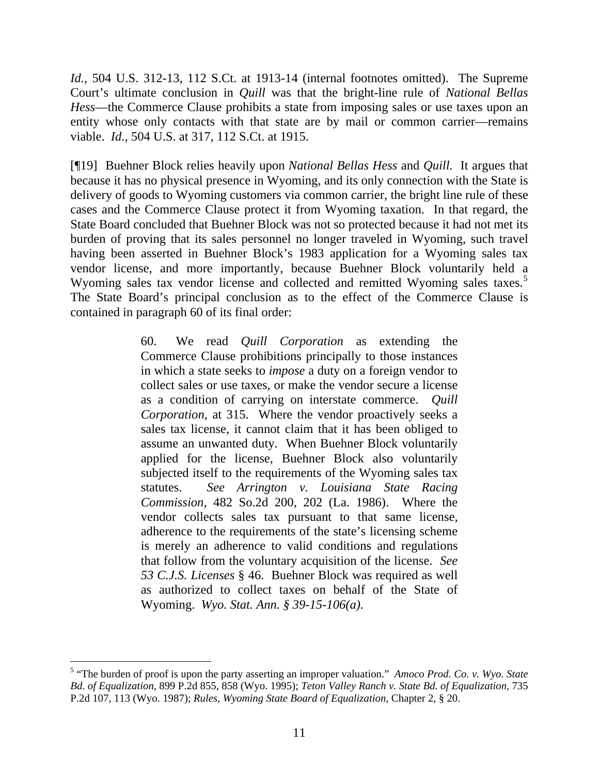*Id.,* 504 U.S. 312-13, 112 S.Ct. at 1913-14 (internal footnotes omitted). The Supreme Court's ultimate conclusion in *Quill* was that the bright-line rule of *National Bellas Hess*—the Commerce Clause prohibits a state from imposing sales or use taxes upon an entity whose only contacts with that state are by mail or common carrier—remains viable. *Id.,* 504 U.S. at 317, 112 S.Ct. at 1915.

[¶19] Buehner Block relies heavily upon *National Bellas Hess* and *Quill.* It argues that because it has no physical presence in Wyoming, and its only connection with the State is delivery of goods to Wyoming customers via common carrier, the bright line rule of these cases and the Commerce Clause protect it from Wyoming taxation. In that regard, the State Board concluded that Buehner Block was not so protected because it had not met its burden of proving that its sales personnel no longer traveled in Wyoming, such travel having been asserted in Buehner Block's 1983 application for a Wyoming sales tax vendor license, and more importantly, because Buehner Block voluntarily held a Wyoming sales tax vendor license and collected and remitted Wyoming sales taxes.<sup>[5](#page-11-0)</sup> The State Board's principal conclusion as to the effect of the Commerce Clause is contained in paragraph 60 of its final order:

> 60. We read *Quill Corporation* as extending the Commerce Clause prohibitions principally to those instances in which a state seeks to *impose* a duty on a foreign vendor to collect sales or use taxes, or make the vendor secure a license as a condition of carrying on interstate commerce. *Quill Corporation,* at 315. Where the vendor proactively seeks a sales tax license, it cannot claim that it has been obliged to assume an unwanted duty. When Buehner Block voluntarily applied for the license, Buehner Block also voluntarily subjected itself to the requirements of the Wyoming sales tax statutes. *See Arrington v. Louisiana State Racing Commission,* 482 So.2d 200, 202 (La. 1986). Where the vendor collects sales tax pursuant to that same license, adherence to the requirements of the state's licensing scheme is merely an adherence to valid conditions and regulations that follow from the voluntary acquisition of the license. *See 53 C.J.S. Licenses* § 46. Buehner Block was required as well as authorized to collect taxes on behalf of the State of Wyoming. *Wyo. Stat. Ann. § 39-15-106(a).*

<span id="page-11-0"></span><sup>&</sup>lt;sup>5</sup> "The burden of proof is upon the party asserting an improper valuation." *Amoco Prod. Co. v. Wyo. State Bd. of Equalization,* 899 P.2d 855, 858 (Wyo. 1995); *Teton Valley Ranch v. State Bd. of Equalization,* 735 P.2d 107, 113 (Wyo. 1987); *Rules, Wyoming State Board of Equalization,* Chapter 2, § 20.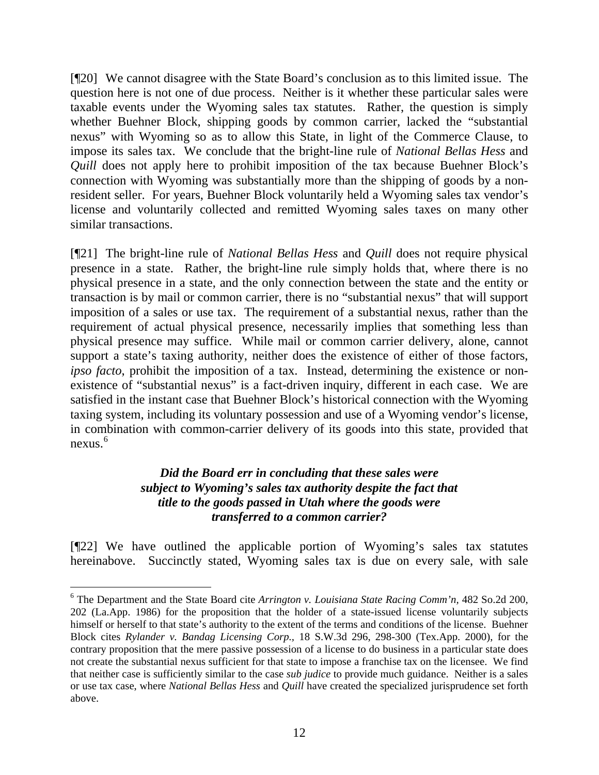[¶20] We cannot disagree with the State Board's conclusion as to this limited issue. The question here is not one of due process. Neither is it whether these particular sales were taxable events under the Wyoming sales tax statutes. Rather, the question is simply whether Buehner Block, shipping goods by common carrier, lacked the "substantial nexus" with Wyoming so as to allow this State, in light of the Commerce Clause, to impose its sales tax. We conclude that the bright-line rule of *National Bellas Hess* and *Quill* does not apply here to prohibit imposition of the tax because Buehner Block's connection with Wyoming was substantially more than the shipping of goods by a nonresident seller. For years, Buehner Block voluntarily held a Wyoming sales tax vendor's license and voluntarily collected and remitted Wyoming sales taxes on many other similar transactions.

[¶21] The bright-line rule of *National Bellas Hess* and *Quill* does not require physical presence in a state. Rather, the bright-line rule simply holds that, where there is no physical presence in a state, and the only connection between the state and the entity or transaction is by mail or common carrier, there is no "substantial nexus" that will support imposition of a sales or use tax. The requirement of a substantial nexus, rather than the requirement of actual physical presence, necessarily implies that something less than physical presence may suffice. While mail or common carrier delivery, alone, cannot support a state's taxing authority, neither does the existence of either of those factors, *ipso facto*, prohibit the imposition of a tax. Instead, determining the existence or nonexistence of "substantial nexus" is a fact-driven inquiry, different in each case. We are satisfied in the instant case that Buehner Block's historical connection with the Wyoming taxing system, including its voluntary possession and use of a Wyoming vendor's license, in combination with common-carrier delivery of its goods into this state, provided that  $n$ exus.<sup>[6](#page-12-0)</sup>

# *Did the Board err in concluding that these sales were subject to Wyoming's sales tax authority despite the fact that title to the goods passed in Utah where the goods were transferred to a common carrier?*

[¶22] We have outlined the applicable portion of Wyoming's sales tax statutes hereinabove. Succinctly stated, Wyoming sales tax is due on every sale, with sale

<span id="page-12-0"></span><sup>6</sup> The Department and the State Board cite *Arrington v. Louisiana State Racing Comm'n,* 482 So.2d 200, 202 (La.App. 1986) for the proposition that the holder of a state-issued license voluntarily subjects himself or herself to that state's authority to the extent of the terms and conditions of the license. Buehner Block cites *Rylander v. Bandag Licensing Corp.,* 18 S.W.3d 296, 298-300 (Tex.App. 2000), for the contrary proposition that the mere passive possession of a license to do business in a particular state does not create the substantial nexus sufficient for that state to impose a franchise tax on the licensee. We find that neither case is sufficiently similar to the case *sub judice* to provide much guidance. Neither is a sales or use tax case, where *National Bellas Hess* and *Quill* have created the specialized jurisprudence set forth above.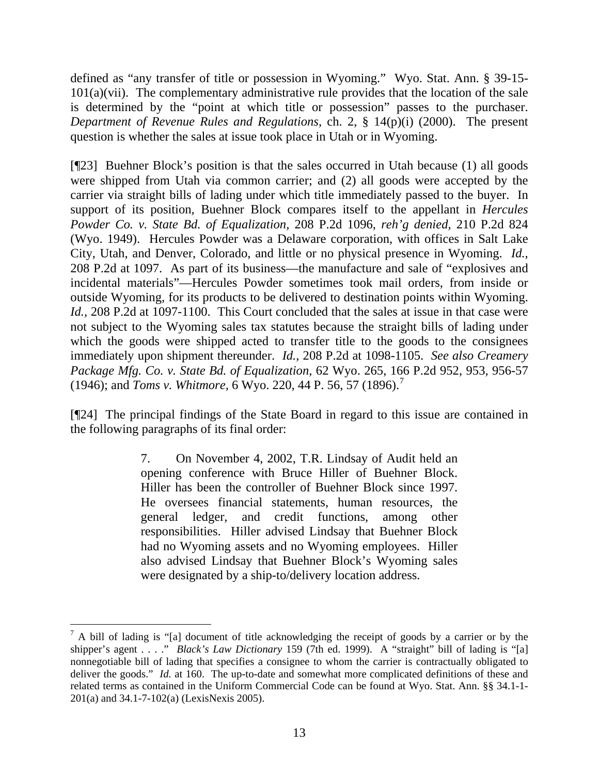defined as "any transfer of title or possession in Wyoming." Wyo. Stat. Ann. § 39-15- 101(a)(vii). The complementary administrative rule provides that the location of the sale is determined by the "point at which title or possession" passes to the purchaser. *Department of Revenue Rules and Regulations,* ch. 2, § 14(p)(i) (2000). The present question is whether the sales at issue took place in Utah or in Wyoming.

[¶23] Buehner Block's position is that the sales occurred in Utah because (1) all goods were shipped from Utah via common carrier; and (2) all goods were accepted by the carrier via straight bills of lading under which title immediately passed to the buyer. In support of its position, Buehner Block compares itself to the appellant in *Hercules Powder Co. v. State Bd. of Equalization,* 208 P.2d 1096, *reh'g denied,* 210 P.2d 824 (Wyo. 1949). Hercules Powder was a Delaware corporation, with offices in Salt Lake City, Utah, and Denver, Colorado, and little or no physical presence in Wyoming. *Id.*, 208 P.2d at 1097. As part of its business—the manufacture and sale of "explosives and incidental materials"—Hercules Powder sometimes took mail orders, from inside or outside Wyoming, for its products to be delivered to destination points within Wyoming. *Id.,* 208 P.2d at 1097-1100. This Court concluded that the sales at issue in that case were not subject to the Wyoming sales tax statutes because the straight bills of lading under which the goods were shipped acted to transfer title to the goods to the consignees immediately upon shipment thereunder. *Id.,* 208 P.2d at 1098-1105. *See also Creamery Package Mfg. Co. v. State Bd. of Equalization,* 62 Wyo. 265, 166 P.2d 952, 953, 956-57 (1946); and *Toms v. Whitmore,* 6 Wyo. 220, 44 P. 56, 57 (1896).[7](#page-13-0)

[¶24] The principal findings of the State Board in regard to this issue are contained in the following paragraphs of its final order:

> 7. On November 4, 2002, T.R. Lindsay of Audit held an opening conference with Bruce Hiller of Buehner Block. Hiller has been the controller of Buehner Block since 1997. He oversees financial statements, human resources, the general ledger, and credit functions, among other responsibilities. Hiller advised Lindsay that Buehner Block had no Wyoming assets and no Wyoming employees. Hiller also advised Lindsay that Buehner Block's Wyoming sales were designated by a ship-to/delivery location address.

<span id="page-13-0"></span> $<sup>7</sup>$  A bill of lading is "[a] document of title acknowledging the receipt of goods by a carrier or by the</sup> shipper's agent . . . ." *Black's Law Dictionary* 159 (7th ed. 1999). A "straight" bill of lading is "[a] nonnegotiable bill of lading that specifies a consignee to whom the carrier is contractually obligated to deliver the goods." *Id.* at 160. The up-to-date and somewhat more complicated definitions of these and related terms as contained in the Uniform Commercial Code can be found at Wyo. Stat. Ann. §§ 34.1-1- 201(a) and 34.1-7-102(a) (LexisNexis 2005).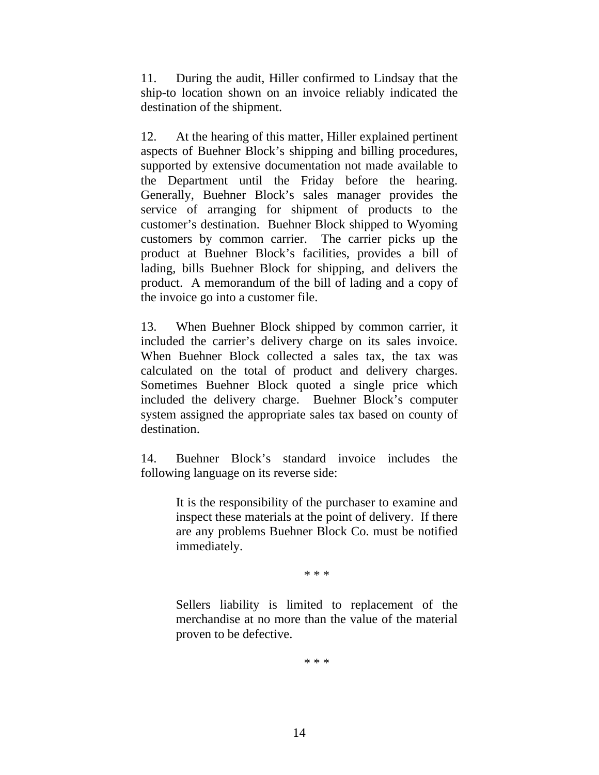11. During the audit, Hiller confirmed to Lindsay that the ship-to location shown on an invoice reliably indicated the destination of the shipment.

12. At the hearing of this matter, Hiller explained pertinent aspects of Buehner Block's shipping and billing procedures, supported by extensive documentation not made available to the Department until the Friday before the hearing. Generally, Buehner Block's sales manager provides the service of arranging for shipment of products to the customer's destination. Buehner Block shipped to Wyoming customers by common carrier. The carrier picks up the product at Buehner Block's facilities, provides a bill of lading, bills Buehner Block for shipping, and delivers the product. A memorandum of the bill of lading and a copy of the invoice go into a customer file.

13. When Buehner Block shipped by common carrier, it included the carrier's delivery charge on its sales invoice. When Buehner Block collected a sales tax, the tax was calculated on the total of product and delivery charges. Sometimes Buehner Block quoted a single price which included the delivery charge. Buehner Block's computer system assigned the appropriate sales tax based on county of destination.

14. Buehner Block's standard invoice includes the following language on its reverse side:

> It is the responsibility of the purchaser to examine and inspect these materials at the point of delivery. If there are any problems Buehner Block Co. must be notified immediately.

> > \* \* \*

Sellers liability is limited to replacement of the merchandise at no more than the value of the material proven to be defective.

\* \* \*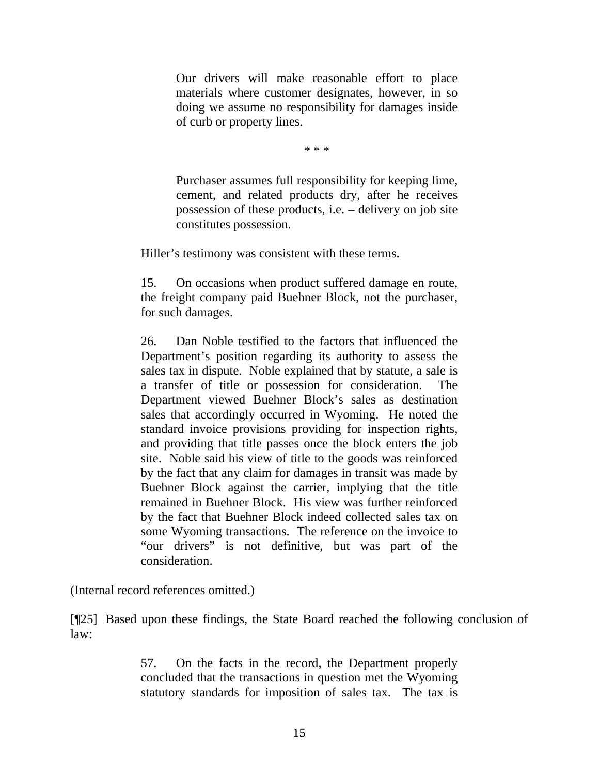Our drivers will make reasonable effort to place materials where customer designates, however, in so doing we assume no responsibility for damages inside of curb or property lines.

\* \* \*

Purchaser assumes full responsibility for keeping lime, cement, and related products dry, after he receives possession of these products, i.e. – delivery on job site constitutes possession.

Hiller's testimony was consistent with these terms.

15. On occasions when product suffered damage en route, the freight company paid Buehner Block, not the purchaser, for such damages.

26. Dan Noble testified to the factors that influenced the Department's position regarding its authority to assess the sales tax in dispute. Noble explained that by statute, a sale is a transfer of title or possession for consideration. The Department viewed Buehner Block's sales as destination sales that accordingly occurred in Wyoming. He noted the standard invoice provisions providing for inspection rights, and providing that title passes once the block enters the job site. Noble said his view of title to the goods was reinforced by the fact that any claim for damages in transit was made by Buehner Block against the carrier, implying that the title remained in Buehner Block. His view was further reinforced by the fact that Buehner Block indeed collected sales tax on some Wyoming transactions. The reference on the invoice to "our drivers" is not definitive, but was part of the consideration.

(Internal record references omitted.)

[¶25] Based upon these findings, the State Board reached the following conclusion of law:

> 57. On the facts in the record, the Department properly concluded that the transactions in question met the Wyoming statutory standards for imposition of sales tax. The tax is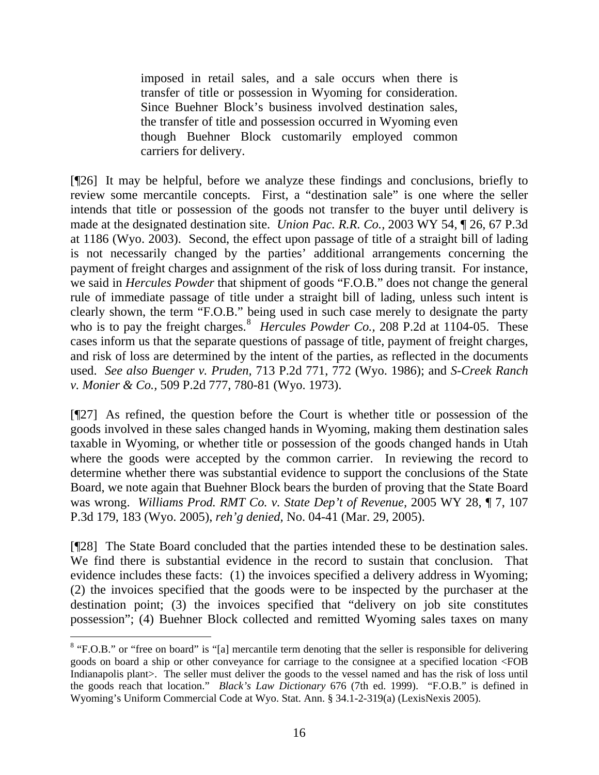imposed in retail sales, and a sale occurs when there is transfer of title or possession in Wyoming for consideration. Since Buehner Block's business involved destination sales, the transfer of title and possession occurred in Wyoming even though Buehner Block customarily employed common carriers for delivery.

[¶26] It may be helpful, before we analyze these findings and conclusions, briefly to review some mercantile concepts. First, a "destination sale" is one where the seller intends that title or possession of the goods not transfer to the buyer until delivery is made at the designated destination site. *Union Pac. R.R. Co.,* 2003 WY 54, ¶ 26, 67 P.3d at 1186 (Wyo. 2003). Second, the effect upon passage of title of a straight bill of lading is not necessarily changed by the parties' additional arrangements concerning the payment of freight charges and assignment of the risk of loss during transit. For instance, we said in *Hercules Powder* that shipment of goods "F.O.B." does not change the general rule of immediate passage of title under a straight bill of lading, unless such intent is clearly shown, the term "F.O.B." being used in such case merely to designate the party who is to pay the freight charges.<sup>[8](#page-16-0)</sup> *Hercules Powder Co.*, 208 P.2d at 1104-05. These cases inform us that the separate questions of passage of title, payment of freight charges, and risk of loss are determined by the intent of the parties, as reflected in the documents used. *See also Buenger v. Pruden,* 713 P.2d 771, 772 (Wyo. 1986); and *S-Creek Ranch v. Monier & Co.,* 509 P.2d 777, 780-81 (Wyo. 1973).

[¶27] As refined, the question before the Court is whether title or possession of the goods involved in these sales changed hands in Wyoming, making them destination sales taxable in Wyoming, or whether title or possession of the goods changed hands in Utah where the goods were accepted by the common carrier. In reviewing the record to determine whether there was substantial evidence to support the conclusions of the State Board, we note again that Buehner Block bears the burden of proving that the State Board was wrong. *Williams Prod. RMT Co. v. State Dep't of Revenue,* 2005 WY 28, ¶ 7, 107 P.3d 179, 183 (Wyo. 2005), *reh'g denied,* No. 04-41 (Mar. 29, 2005).

[¶28] The State Board concluded that the parties intended these to be destination sales. We find there is substantial evidence in the record to sustain that conclusion. That evidence includes these facts: (1) the invoices specified a delivery address in Wyoming; (2) the invoices specified that the goods were to be inspected by the purchaser at the destination point; (3) the invoices specified that "delivery on job site constitutes possession"; (4) Buehner Block collected and remitted Wyoming sales taxes on many

<span id="page-16-0"></span><sup>&</sup>lt;sup>8</sup> "F.O.B." or "free on board" is "[a] mercantile term denoting that the seller is responsible for delivering goods on board a ship or other conveyance for carriage to the consignee at a specified location <FOB Indianapolis plant>. The seller must deliver the goods to the vessel named and has the risk of loss until the goods reach that location." *Black's Law Dictionary* 676 (7th ed. 1999). "F.O.B." is defined in Wyoming's Uniform Commercial Code at Wyo. Stat. Ann. § 34.1-2-319(a) (LexisNexis 2005).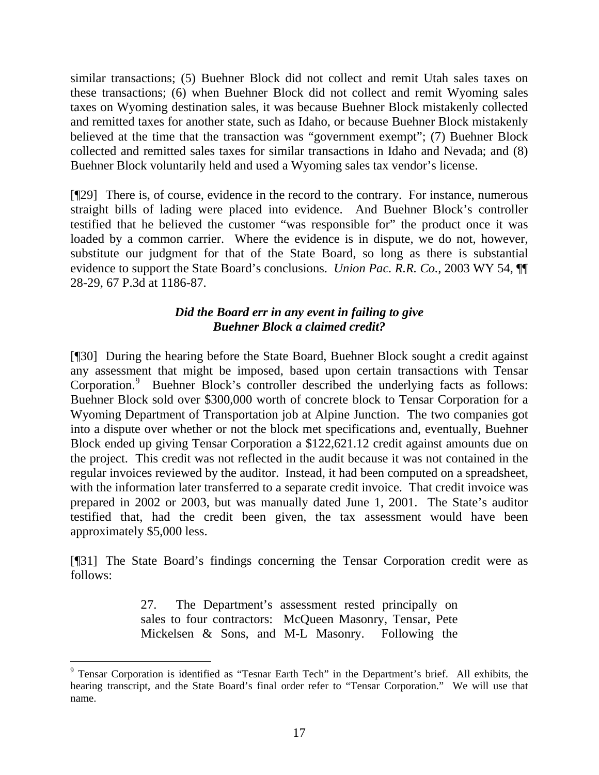similar transactions; (5) Buehner Block did not collect and remit Utah sales taxes on these transactions; (6) when Buehner Block did not collect and remit Wyoming sales taxes on Wyoming destination sales, it was because Buehner Block mistakenly collected and remitted taxes for another state, such as Idaho, or because Buehner Block mistakenly believed at the time that the transaction was "government exempt"; (7) Buehner Block collected and remitted sales taxes for similar transactions in Idaho and Nevada; and (8) Buehner Block voluntarily held and used a Wyoming sales tax vendor's license.

[¶29] There is, of course, evidence in the record to the contrary. For instance, numerous straight bills of lading were placed into evidence. And Buehner Block's controller testified that he believed the customer "was responsible for" the product once it was loaded by a common carrier. Where the evidence is in dispute, we do not, however, substitute our judgment for that of the State Board, so long as there is substantial evidence to support the State Board's conclusions. *Union Pac. R.R. Co.,* 2003 WY 54, ¶¶ 28-29, 67 P.3d at 1186-87.

## *Did the Board err in any event in failing to give Buehner Block a claimed credit?*

[¶30] During the hearing before the State Board, Buehner Block sought a credit against any assessment that might be imposed, based upon certain transactions with Tensar Corporation.<sup>[9](#page-17-0)</sup> Buehner Block's controller described the underlying facts as follows: Buehner Block sold over \$300,000 worth of concrete block to Tensar Corporation for a Wyoming Department of Transportation job at Alpine Junction. The two companies got into a dispute over whether or not the block met specifications and, eventually, Buehner Block ended up giving Tensar Corporation a \$122,621.12 credit against amounts due on the project. This credit was not reflected in the audit because it was not contained in the regular invoices reviewed by the auditor. Instead, it had been computed on a spreadsheet, with the information later transferred to a separate credit invoice. That credit invoice was prepared in 2002 or 2003, but was manually dated June 1, 2001. The State's auditor testified that, had the credit been given, the tax assessment would have been approximately \$5,000 less.

[¶31] The State Board's findings concerning the Tensar Corporation credit were as follows:

> 27. The Department's assessment rested principally on sales to four contractors: McQueen Masonry, Tensar, Pete Mickelsen & Sons, and M-L Masonry. Following the

<span id="page-17-0"></span><sup>&</sup>lt;sup>9</sup> Tensar Corporation is identified as "Tesnar Earth Tech" in the Department's brief. All exhibits, the hearing transcript, and the State Board's final order refer to "Tensar Corporation." We will use that name.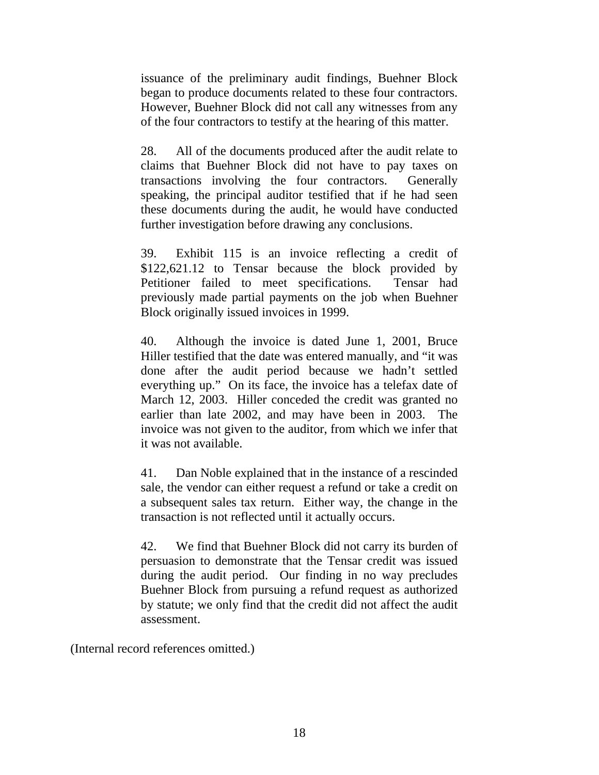issuance of the preliminary audit findings, Buehner Block began to produce documents related to these four contractors. However, Buehner Block did not call any witnesses from any of the four contractors to testify at the hearing of this matter.

28. All of the documents produced after the audit relate to claims that Buehner Block did not have to pay taxes on transactions involving the four contractors. Generally speaking, the principal auditor testified that if he had seen these documents during the audit, he would have conducted further investigation before drawing any conclusions.

39. Exhibit 115 is an invoice reflecting a credit of \$122,621.12 to Tensar because the block provided by Petitioner failed to meet specifications. Tensar had previously made partial payments on the job when Buehner Block originally issued invoices in 1999.

40. Although the invoice is dated June 1, 2001, Bruce Hiller testified that the date was entered manually, and "it was done after the audit period because we hadn't settled everything up." On its face, the invoice has a telefax date of March 12, 2003. Hiller conceded the credit was granted no earlier than late 2002, and may have been in 2003. The invoice was not given to the auditor, from which we infer that it was not available.

41. Dan Noble explained that in the instance of a rescinded sale, the vendor can either request a refund or take a credit on a subsequent sales tax return. Either way, the change in the transaction is not reflected until it actually occurs.

42. We find that Buehner Block did not carry its burden of persuasion to demonstrate that the Tensar credit was issued during the audit period. Our finding in no way precludes Buehner Block from pursuing a refund request as authorized by statute; we only find that the credit did not affect the audit assessment.

(Internal record references omitted.)